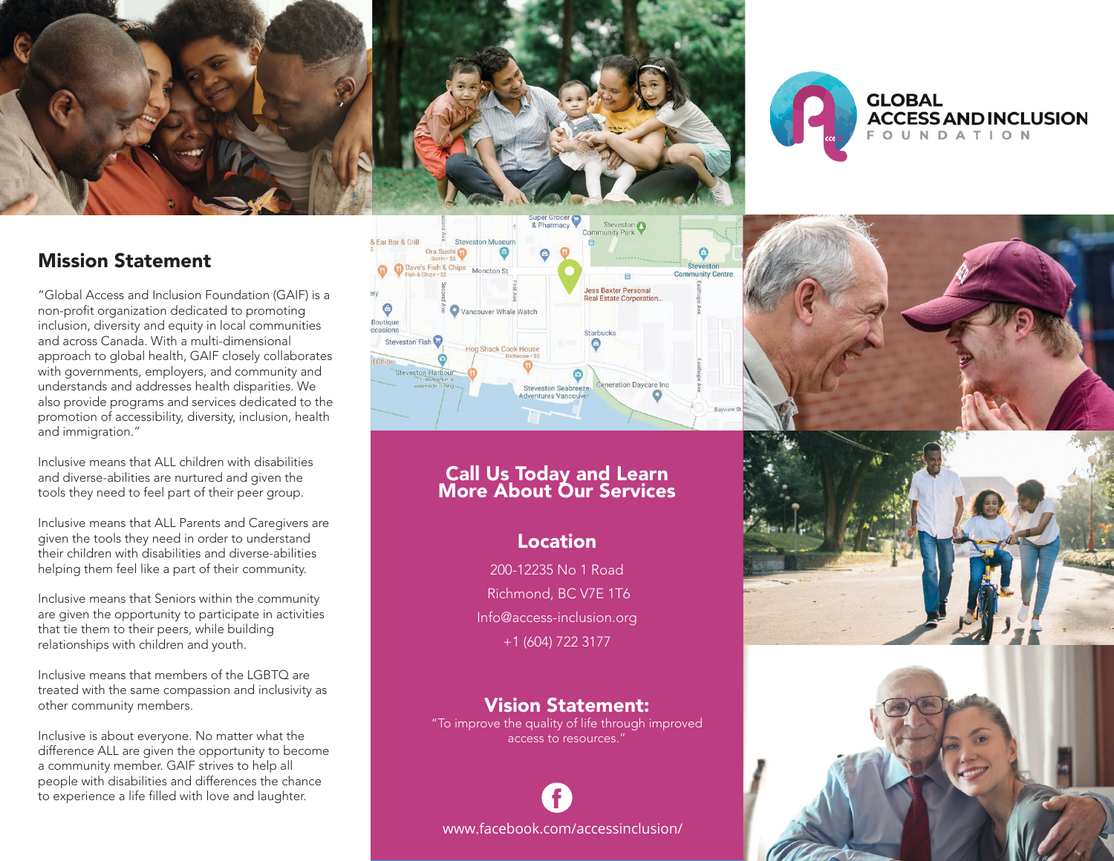



# Mission Statement

"Global Access and Inclusion Foundation (GAIF) is a non-profit organization dedicated to promoting inclusion, diversity and equity in local communities and across Canada. With a multi-dimensional approach to global health, GAIF closely collaborates with governments, employers, and community and understands and addresses health disparities. We also provide programs and services dedicated to the promotion of accessibility, diversity, inclusion, health and immigration."

Inclusive means that ALL children with disabilities and diverse-abilities are nurtured and given the tools they need to feel part of their peer group.

Inclusive means that ALL Parents and Caregivers are given the tools they need in order to understand their children with disabilities and diverse-abilities helping them feel like a part of their community.

Inclusive means that Seniors within the community are given the opportunity to participate in activities that tie them to their peers, while building relationships with children and youth.

Inclusive means that members of the LGBTQ are treated with the same compassion and inclusivity as other community members.

Inclusive is about everyone. No matter what the difference ALL are given the opportunity to become a community member. GAIF strives to help all people with disabilities and differences the chance to experience a life filled with love and laughter.



## Call Us Today and Learn More About Our Services

### Location

200-12235 No 1 Road Richmond, BC V7E 1T6 Info@access-inclusion.org +1 (604) 722 3177

### Vision Statement:

"To improve the quality of life through improved access to resources."

www.facebook.com/accessinclusion/